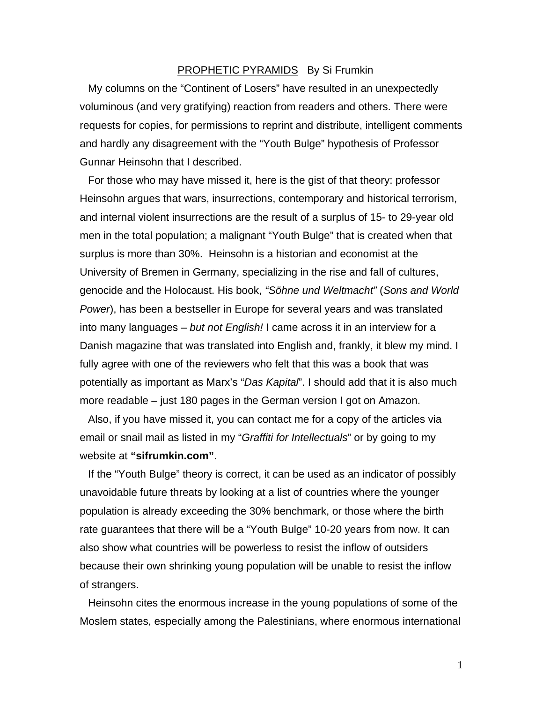## PROPHETIC PYRAMIDS By Si Frumkin

My columns on the "Continent of Losers" have resulted in an unexpectedly voluminous (and very gratifying) reaction from readers and others. There were requests for copies, for permissions to reprint and distribute, intelligent comments and hardly any disagreement with the "Youth Bulge" hypothesis of Professor Gunnar Heinsohn that I described.

For those who may have missed it, here is the gist of that theory: professor Heinsohn argues that wars, insurrections, contemporary and historical terrorism, and internal violent insurrections are the result of a surplus of 15- to 29-year old men in the total population; a malignant "Youth Bulge" that is created when that surplus is more than 30%. Heinsohn is a historian and economist at the University of Bremen in Germany, specializing in the rise and fall of cultures, genocide and the Holocaust. His book, *"Söhne und Weltmacht"* (*Sons and World Power*), has been a bestseller in Europe for several years and was translated into many languages – *but not English!* I came across it in an interview for a Danish magazine that was translated into English and, frankly, it blew my mind. I fully agree with one of the reviewers who felt that this was a book that was potentially as important as Marx's "*Das Kapital*". I should add that it is also much more readable – just 180 pages in the German version I got on Amazon.

Also, if you have missed it, you can contact me for a copy of the articles via email or snail mail as listed in my "*Graffiti for Intellectuals*" or by going to my website at **"sifrumkin.com"**.

If the "Youth Bulge" theory is correct, it can be used as an indicator of possibly unavoidable future threats by looking at a list of countries where the younger population is already exceeding the 30% benchmark, or those where the birth rate guarantees that there will be a "Youth Bulge" 10-20 years from now. It can also show what countries will be powerless to resist the inflow of outsiders because their own shrinking young population will be unable to resist the inflow of strangers.

Heinsohn cites the enormous increase in the young populations of some of the Moslem states, especially among the Palestinians, where enormous international

1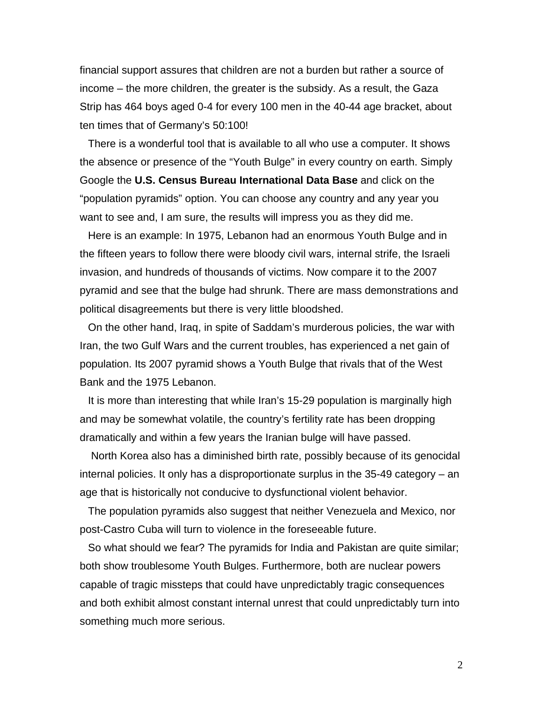financial support assures that children are not a burden but rather a source of income – the more children, the greater is the subsidy. As a result, the Gaza Strip has 464 boys aged 0-4 for every 100 men in the 40-44 age bracket, about ten times that of Germany's 50:100!

There is a wonderful tool that is available to all who use a computer. It shows the absence or presence of the "Youth Bulge" in every country on earth. Simply Google the **U.S. Census Bureau International Data Base** and click on the "population pyramids" option. You can choose any country and any year you want to see and, I am sure, the results will impress you as they did me.

Here is an example: In 1975, Lebanon had an enormous Youth Bulge and in the fifteen years to follow there were bloody civil wars, internal strife, the Israeli invasion, and hundreds of thousands of victims. Now compare it to the 2007 pyramid and see that the bulge had shrunk. There are mass demonstrations and political disagreements but there is very little bloodshed.

On the other hand, Iraq, in spite of Saddam's murderous policies, the war with Iran, the two Gulf Wars and the current troubles, has experienced a net gain of population. Its 2007 pyramid shows a Youth Bulge that rivals that of the West Bank and the 1975 Lebanon.

It is more than interesting that while Iran's 15-29 population is marginally high and may be somewhat volatile, the country's fertility rate has been dropping dramatically and within a few years the Iranian bulge will have passed.

 North Korea also has a diminished birth rate, possibly because of its genocidal internal policies. It only has a disproportionate surplus in the 35-49 category – an age that is historically not conducive to dysfunctional violent behavior.

The population pyramids also suggest that neither Venezuela and Mexico, nor post-Castro Cuba will turn to violence in the foreseeable future.

So what should we fear? The pyramids for India and Pakistan are quite similar; both show troublesome Youth Bulges. Furthermore, both are nuclear powers capable of tragic missteps that could have unpredictably tragic consequences and both exhibit almost constant internal unrest that could unpredictably turn into something much more serious.

2